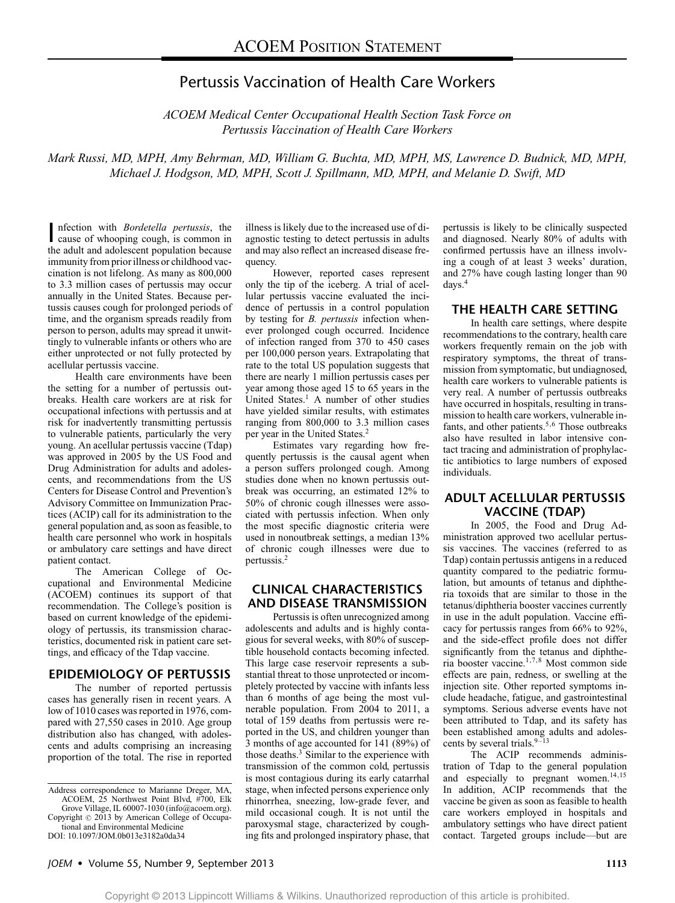# Pertussis Vaccination of Health Care Workers

*ACOEM Medical Center Occupational Health Section Task Force on Pertussis Vaccination of Health Care Workers*

*Mark Russi, MD, MPH, Amy Behrman, MD, William G. Buchta, MD, MPH, MS, Lawrence D. Budnick, MD, MPH, Michael J. Hodgson, MD, MPH, Scott J. Spillmann, MD, MPH, and Melanie D. Swift, MD*

Infection with *Bordetella pertussis*, the cause of whooping cough, is common in nfection with *Bordetella pertussis*, the the adult and adolescent population because immunity from prior illness or childhood vaccination is not lifelong. As many as 800,000 to 3.3 million cases of pertussis may occur annually in the United States. Because pertussis causes cough for prolonged periods of time, and the organism spreads readily from person to person, adults may spread it unwittingly to vulnerable infants or others who are either unprotected or not fully protected by acellular pertussis vaccine.

Health care environments have been the setting for a number of pertussis outbreaks. Health care workers are at risk for occupational infections with pertussis and at risk for inadvertently transmitting pertussis to vulnerable patients, particularly the very young. An acellular pertussis vaccine (Tdap) was approved in 2005 by the US Food and Drug Administration for adults and adolescents, and recommendations from the US Centers for Disease Control and Prevention's Advisory Committee on Immunization Practices (ACIP) call for its administration to the general population and, as soon as feasible, to health care personnel who work in hospitals or ambulatory care settings and have direct patient contact.

The American College of Occupational and Environmental Medicine (ACOEM) continues its support of that recommendation. The College's position is based on current knowledge of the epidemiology of pertussis, its transmission characteristics, documented risk in patient care settings, and efficacy of the Tdap vaccine.

#### **EPIDEMIOLOGY OF PERTUSSIS**

The number of reported pertussis cases has generally risen in recent years. A low of 1010 cases was reported in 1976, compared with 27,550 cases in 2010. Age group distribution also has changed, with adolescents and adults comprising an increasing proportion of the total. The rise in reported illness is likely due to the increased use of diagnostic testing to detect pertussis in adults and may also reflect an increased disease frequency.

However, reported cases represent only the tip of the iceberg. A trial of acellular pertussis vaccine evaluated the incidence of pertussis in a control population by testing for *B. pertussis* infection whenever prolonged cough occurred. Incidence of infection ranged from 370 to 450 cases per 100,000 person years. Extrapolating that rate to the total US population suggests that there are nearly 1 million pertussis cases per year among those aged 15 to 65 years in the United States.<sup>1</sup> A number of other studies have yielded similar results, with estimates ranging from 800,000 to 3.3 million cases per year in the United States.<sup>2</sup>

Estimates vary regarding how frequently pertussis is the causal agent when a person suffers prolonged cough. Among studies done when no known pertussis outbreak was occurring, an estimated 12% to 50% of chronic cough illnesses were associated with pertussis infection. When only the most specific diagnostic criteria were used in nonoutbreak settings, a median 13% of chronic cough illnesses were due to pertussis.2

## **CLINICAL CHARACTERISTICS AND DISEASE TRANSMISSION**

Pertussis is often unrecognized among adolescents and adults and is highly contagious for several weeks, with 80% of susceptible household contacts becoming infected. This large case reservoir represents a substantial threat to those unprotected or incompletely protected by vaccine with infants less than 6 months of age being the most vulnerable population. From 2004 to 2011, a total of 159 deaths from pertussis were reported in the US, and children younger than 3 months of age accounted for 141 (89%) of those deaths. $3$  Similar to the experience with transmission of the common cold, pertussis is most contagious during its early catarrhal stage, when infected persons experience only rhinorrhea, sneezing, low-grade fever, and mild occasional cough. It is not until the paroxysmal stage, characterized by coughing fits and prolonged inspiratory phase, that

pertussis is likely to be clinically suspected and diagnosed. Nearly 80% of adults with confirmed pertussis have an illness involving a cough of at least 3 weeks' duration, and 27% have cough lasting longer than 90 days.4

#### **THE HEALTH CARE SETTING**

In health care settings, where despite recommendations to the contrary, health care workers frequently remain on the job with respiratory symptoms, the threat of transmission from symptomatic, but undiagnosed, health care workers to vulnerable patients is very real. A number of pertussis outbreaks have occurred in hospitals, resulting in transmission to health care workers, vulnerable infants, and other patients.<sup>5,6</sup> Those outbreaks also have resulted in labor intensive contact tracing and administration of prophylactic antibiotics to large numbers of exposed individuals.

### **ADULT ACELLULAR PERTUSSIS VACCINE (TDAP)**

In 2005, the Food and Drug Administration approved two acellular pertussis vaccines. The vaccines (referred to as Tdap) contain pertussis antigens in a reduced quantity compared to the pediatric formulation, but amounts of tetanus and diphtheria toxoids that are similar to those in the tetanus/diphtheria booster vaccines currently in use in the adult population. Vaccine efficacy for pertussis ranges from 66% to 92%, and the side-effect profile does not differ significantly from the tetanus and diphtheria booster vaccine.1,7,8 Most common side effects are pain, redness, or swelling at the injection site. Other reported symptoms include headache, fatigue, and gastrointestinal symptoms. Serious adverse events have not been attributed to Tdap, and its safety has been established among adults and adolescents by several trials. $9-13$ 

The ACIP recommends administration of Tdap to the general population and especially to pregnant women.<sup>14,15</sup> In addition, ACIP recommends that the vaccine be given as soon as feasible to health care workers employed in hospitals and ambulatory settings who have direct patient contact. Targeted groups include—but are

Address correspondence to Marianne Dreger, MA, ACOEM, 25 Northwest Point Blvd, #700, Elk Grove Village, IL 60007-1030 [\(info@acoem.org\)](mailto:info@acoem.org).

Copyright  $\odot$  2013 by American College of Occupational and Environmental Medicine DOI: 10.1097/JOM.0b013e3182a0da34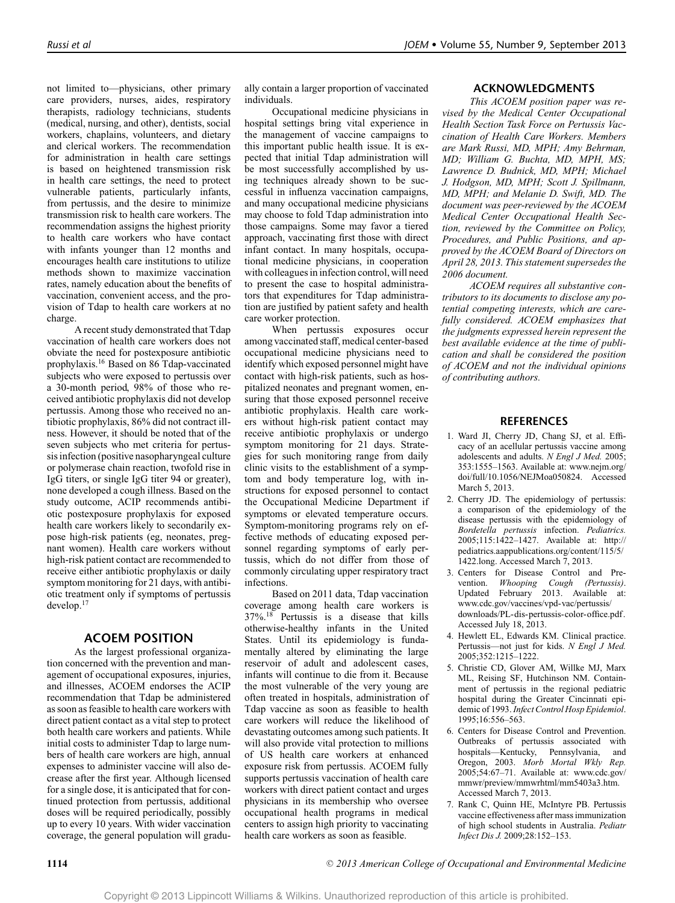not limited to—physicians, other primary care providers, nurses, aides, respiratory therapists, radiology technicians, students (medical, nursing, and other), dentists, social workers, chaplains, volunteers, and dietary and clerical workers. The recommendation for administration in health care settings is based on heightened transmission risk in health care settings, the need to protect vulnerable patients, particularly infants, from pertussis, and the desire to minimize transmission risk to health care workers. The recommendation assigns the highest priority to health care workers who have contact with infants younger than 12 months and encourages health care institutions to utilize methods shown to maximize vaccination rates, namely education about the benefits of vaccination, convenient access, and the provision of Tdap to health care workers at no charge.

A recent study demonstrated that Tdap vaccination of health care workers does not obviate the need for postexposure antibiotic prophylaxis.16 Based on 86 Tdap-vaccinated subjects who were exposed to pertussis over a 30-month period, 98% of those who received antibiotic prophylaxis did not develop pertussis. Among those who received no antibiotic prophylaxis, 86% did not contract illness. However, it should be noted that of the seven subjects who met criteria for pertussis infection (positive nasopharyngeal culture or polymerase chain reaction, twofold rise in IgG titers, or single IgG titer 94 or greater), none developed a cough illness. Based on the study outcome, ACIP recommends antibiotic postexposure prophylaxis for exposed health care workers likely to secondarily expose high-risk patients (eg, neonates, pregnant women). Health care workers without high-risk patient contact are recommended to receive either antibiotic prophylaxis or daily symptom monitoring for 21 days, with antibiotic treatment only if symptoms of pertussis develop.17

## **ACOEM POSITION**

As the largest professional organization concerned with the prevention and management of occupational exposures, injuries, and illnesses, ACOEM endorses the ACIP recommendation that Tdap be administered as soon as feasible to health care workers with direct patient contact as a vital step to protect both health care workers and patients. While initial costs to administer Tdap to large numbers of health care workers are high, annual expenses to administer vaccine will also decrease after the first year. Although licensed for a single dose, it is anticipated that for continued protection from pertussis, additional doses will be required periodically, possibly up to every 10 years. With wider vaccination coverage, the general population will gradu-

ally contain a larger proportion of vaccinated individuals.

Occupational medicine physicians in hospital settings bring vital experience in the management of vaccine campaigns to this important public health issue. It is expected that initial Tdap administration will be most successfully accomplished by using techniques already shown to be successful in influenza vaccination campaigns, and many occupational medicine physicians may choose to fold Tdap administration into those campaigns. Some may favor a tiered approach, vaccinating first those with direct infant contact. In many hospitals, occupational medicine physicians, in cooperation with colleagues in infection control, will need to present the case to hospital administrators that expenditures for Tdap administration are justified by patient safety and health care worker protection.

When pertussis exposures occur among vaccinated staff, medical center-based occupational medicine physicians need to identify which exposed personnel might have contact with high-risk patients, such as hospitalized neonates and pregnant women, ensuring that those exposed personnel receive antibiotic prophylaxis. Health care workers without high-risk patient contact may receive antibiotic prophylaxis or undergo symptom monitoring for 21 days. Strategies for such monitoring range from daily clinic visits to the establishment of a symptom and body temperature log, with instructions for exposed personnel to contact the Occupational Medicine Department if symptoms or elevated temperature occurs. Symptom-monitoring programs rely on effective methods of educating exposed personnel regarding symptoms of early pertussis, which do not differ from those of commonly circulating upper respiratory tract infections.

Based on 2011 data, Tdap vaccination coverage among health care workers is  $37\%$ .<sup>18</sup> Pertussis is a disease that kills otherwise-healthy infants in the United States. Until its epidemiology is fundamentally altered by eliminating the large reservoir of adult and adolescent cases, infants will continue to die from it. Because the most vulnerable of the very young are often treated in hospitals, administration of Tdap vaccine as soon as feasible to health care workers will reduce the likelihood of devastating outcomes among such patients. It will also provide vital protection to millions of US health care workers at enhanced exposure risk from pertussis. ACOEM fully supports pertussis vaccination of health care workers with direct patient contact and urges physicians in its membership who oversee occupational health programs in medical centers to assign high priority to vaccinating health care workers as soon as feasible.

#### **ACKNOWLEDGMENTS**

*This ACOEM position paper was revised by the Medical Center Occupational Health Section Task Force on Pertussis Vaccination of Health Care Workers. Members are Mark Russi, MD, MPH; Amy Behrman, MD; William G. Buchta, MD, MPH, MS; Lawrence D. Budnick, MD, MPH; Michael J. Hodgson, MD, MPH; Scott J. Spillmann, MD, MPH; and Melanie D. Swift, MD. The document was peer-reviewed by the ACOEM Medical Center Occupational Health Section, reviewed by the Committee on Policy, Procedures, and Public Positions, and approved by the ACOEM Board of Directors on April 28, 2013. This statement supersedes the 2006 document.*

*ACOEM requires all substantive contributors to its documents to disclose any potential competing interests, which are carefully considered. ACOEM emphasizes that the judgments expressed herein represent the best available evidence at the time of publication and shall be considered the position of ACOEM and not the individual opinions of contributing authors.*

#### **REFERENCES**

- 1. Ward JI, Cherry JD, Chang SJ, et al. Efficacy of an acellular pertussis vaccine among adolescents and adults. *N Engl J Med.* 2005; 353:1555–1563. Available at: [www.nejm.org/](http://www.nejm.org/doi/full/10.1056/NEJMoa050824) [doi/full/10.1056/NEJMoa050824.](http://www.nejm.org/doi/full/10.1056/NEJMoa050824) Accessed March 5, 2013.
- 2. Cherry JD. The epidemiology of pertussis: a comparison of the epidemiology of the disease pertussis with the epidemiology of *Bordetella pertussis* infection. *Pediatrics.* 2005;115:1422–1427. Available at: [http://](http://pediatrics.aappublications.org/content/115/5/1422.long) [pediatrics.aappublications.org/content/115/5/](http://pediatrics.aappublications.org/content/115/5/1422.long) [1422.long.](http://pediatrics.aappublications.org/content/115/5/1422.long) Accessed March 7, 2013.
- 3. Centers for Disease Control and Prevention. *Whooping Cough (Pertussis)*. Updated February 2013. Available at: [www.cdc.gov/vaccines/vpd-vac/pertussis/](www.cdc.gov/vaccines/vpd-vac/pertussis/downloads/PL-dis-pertussis-color-office.pdf) [downloads/PL-dis-pertussis-color-office.pdf.](www.cdc.gov/vaccines/vpd-vac/pertussis/downloads/PL-dis-pertussis-color-office.pdf) Accessed July 18, 2013.
- 4. Hewlett EL, Edwards KM. Clinical practice. Pertussis—not just for kids. *N Engl J Med.* 2005;352:1215–1222.
- 5. Christie CD, Glover AM, Willke MJ, Marx ML, Reising SF, Hutchinson NM. Containment of pertussis in the regional pediatric hospital during the Greater Cincinnati epidemic of 1993.*Infect Control Hosp Epidemiol*. 1995;16:556–563.
- 6. Centers for Disease Control and Prevention. Outbreaks of pertussis associated with hospitals—Kentucky, Pennsylvania, and Oregon, 2003. *Morb Mortal Wkly Rep.* 2005;54:67–71. Available at: [www.cdc.gov/](http://www.cdc.gov/mmwr/preview/mmwrhtml/mm5403a3.htm) [mmwr/preview/mmwrhtml/mm5403a3.htm.](http://www.cdc.gov/mmwr/preview/mmwrhtml/mm5403a3.htm) Accessed March 7, 2013.
- 7. Rank C, Quinn HE, McIntyre PB. Pertussis vaccine effectiveness after mass immunization of high school students in Australia. *Pediatr Infect Dis J.* 2009;28:152–153.